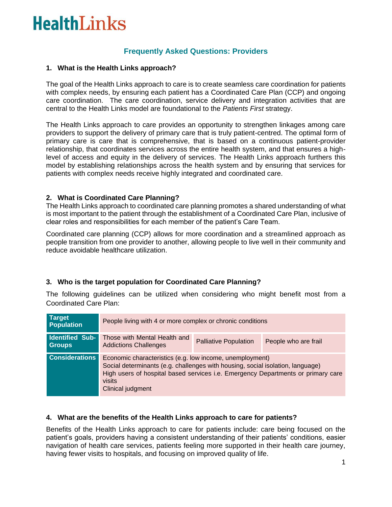## **Frequently Asked Questions: Providers**

#### **1. What is the Health Links approach?**

The goal of the Health Links approach to care is to create seamless care coordination for patients with complex needs, by ensuring each patient has a Coordinated Care Plan (CCP) and ongoing care coordination. The care coordination, service delivery and integration activities that are central to the Health Links model are foundational to the *Patients First* strategy.

The Health Links approach to care provides an opportunity to strengthen linkages among care providers to support the delivery of primary care that is truly patient-centred. The optimal form of primary care is care that is comprehensive, that is based on a continuous patient-provider relationship, that coordinates services across the entire health system, and that ensures a highlevel of access and equity in the delivery of services. The Health Links approach furthers this model by establishing relationships across the health system and by ensuring that services for patients with complex needs receive highly integrated and coordinated care.

### **2. What is Coordinated Care Planning?**

The Health Links approach to coordinated care planning promotes a shared understanding of what is most important to the patient through the establishment of a Coordinated Care Plan, inclusive of clear roles and responsibilities for each member of the patient's Care Team.

Coordinated care planning (CCP) allows for more coordination and a streamlined approach as people transition from one provider to another, allowing people to live well in their community and reduce avoidable healthcare utilization.

### **3. Who is the target population for Coordinated Care Planning?**

The following guidelines can be utilized when considering who might benefit most from a Coordinated Care Plan:

| <b>Target</b><br><b>Population</b>      | People living with 4 or more complex or chronic conditions                                                                                                                                                                                                    |                              |                      |
|-----------------------------------------|---------------------------------------------------------------------------------------------------------------------------------------------------------------------------------------------------------------------------------------------------------------|------------------------------|----------------------|
| <b>Identified Sub-</b><br><b>Groups</b> | Those with Mental Health and<br><b>Addictions Challenges</b>                                                                                                                                                                                                  | <b>Palliative Population</b> | People who are frail |
| <b>Considerations</b>                   | Economic characteristics (e.g. low income, unemployment)<br>Social determinants (e.g. challenges with housing, social isolation, language)<br>High users of hospital based services i.e. Emergency Departments or primary care<br>visits<br>Clinical judgment |                              |                      |

### **4. What are the benefits of the Health Links approach to care for patients?**

Benefits of the Health Links approach to care for patients include: care being focused on the patient's goals, providers having a consistent understanding of their patients' conditions, easier navigation of health care services, patients feeling more supported in their health care journey, having fewer visits to hospitals, and focusing on improved quality of life.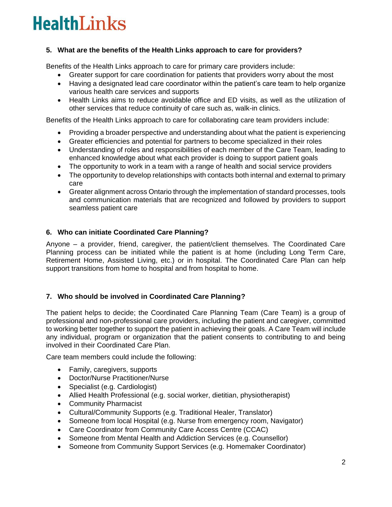## **5. What are the benefits of the Health Links approach to care for providers?**

Benefits of the Health Links approach to care for primary care providers include:

- Greater support for care coordination for patients that providers worry about the most
- Having a designated lead care coordinator within the patient's care team to help organize various health care services and supports
- Health Links aims to reduce avoidable office and ED visits, as well as the utilization of other services that reduce continuity of care such as, walk-in clinics.

Benefits of the Health Links approach to care for collaborating care team providers include:

- Providing a broader perspective and understanding about what the patient is experiencing
- Greater efficiencies and potential for partners to become specialized in their roles
- Understanding of roles and responsibilities of each member of the Care Team, leading to enhanced knowledge about what each provider is doing to support patient goals
- The opportunity to work in a team with a range of health and social service providers
- The opportunity to develop relationships with contacts both internal and external to primary care
- Greater alignment across Ontario through the implementation of standard processes, tools and communication materials that are recognized and followed by providers to support seamless patient care

## **6. Who can initiate Coordinated Care Planning?**

Anyone – a provider, friend, caregiver, the patient/client themselves. The Coordinated Care Planning process can be initiated while the patient is at home (including Long Term Care, Retirement Home, Assisted Living, etc.) or in hospital. The Coordinated Care Plan can help support transitions from home to hospital and from hospital to home.

## **7. Who should be involved in Coordinated Care Planning?**

The patient helps to decide; the Coordinated Care Planning Team (Care Team) is a group of professional and non-professional care providers, including the patient and caregiver, committed to working better together to support the patient in achieving their goals. A Care Team will include any individual, program or organization that the patient consents to contributing to and being involved in their Coordinated Care Plan.

Care team members could include the following:

- Family, caregivers, supports
- Doctor/Nurse Practitioner/Nurse
- Specialist (e.g. Cardiologist)
- Allied Health Professional (e.g. social worker, dietitian, physiotherapist)
- Community Pharmacist
- Cultural/Community Supports (e.g. Traditional Healer, Translator)
- Someone from local Hospital (e.g. Nurse from emergency room, Navigator)
- Care Coordinator from Community Care Access Centre (CCAC)
- Someone from Mental Health and Addiction Services (e.g. Counsellor)
- Someone from Community Support Services (e.g. Homemaker Coordinator)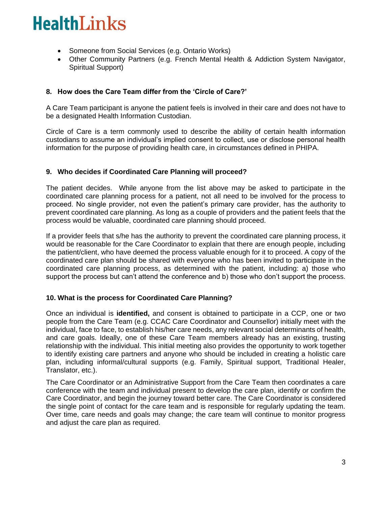- Someone from Social Services (e.g. Ontario Works)
- Other Community Partners (e.g. French Mental Health & Addiction System Navigator, Spiritual Support)

## **8. How does the Care Team differ from the 'Circle of Care?'**

A Care Team participant is anyone the patient feels is involved in their care and does not have to be a designated Health Information Custodian.

Circle of Care is a term commonly used to describe the ability of certain health information custodians to assume an individual's implied consent to collect, use or disclose personal health information for the purpose of providing health care, in circumstances defined in PHIPA.

## **9. Who decides if Coordinated Care Planning will proceed?**

The patient decides. While anyone from the list above may be asked to participate in the coordinated care planning process for a patient, not all need to be involved for the process to proceed. No single provider, not even the patient's primary care provider, has the authority to prevent coordinated care planning. As long as a couple of providers and the patient feels that the process would be valuable, coordinated care planning should proceed.

If a provider feels that s/he has the authority to prevent the coordinated care planning process, it would be reasonable for the Care Coordinator to explain that there are enough people, including the patient/client, who have deemed the process valuable enough for it to proceed. A copy of the coordinated care plan should be shared with everyone who has been invited to participate in the coordinated care planning process, as determined with the patient, including: a) those who support the process but can't attend the conference and b) those who don't support the process.

## **10. What is the process for Coordinated Care Planning?**

Once an individual is **identified,** and consent is obtained to participate in a CCP, one or two people from the Care Team (e.g. CCAC Care Coordinator and Counsellor) initially meet with the individual, face to face, to establish his/her care needs, any relevant social determinants of health, and care goals. Ideally, one of these Care Team members already has an existing, trusting relationship with the individual. This initial meeting also provides the opportunity to work together to identify existing care partners and anyone who should be included in creating a holistic care plan, including informal/cultural supports (e.g. Family, Spiritual support, Traditional Healer, Translator, etc.).

The Care Coordinator or an Administrative Support from the Care Team then coordinates a care conference with the team and individual present to develop the care plan, identify or confirm the Care Coordinator, and begin the journey toward better care. The Care Coordinator is considered the single point of contact for the care team and is responsible for regularly updating the team. Over time, care needs and goals may change; the care team will continue to monitor progress and adjust the care plan as required.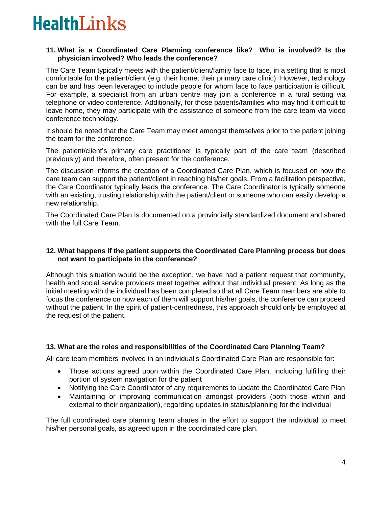#### **11. What is a Coordinated Care Planning conference like? Who is involved? Is the physician involved? Who leads the conference?**

The Care Team typically meets with the patient/client/family face to face, in a setting that is most comfortable for the patient/client (e.g. their home, their primary care clinic). However, technology can be and has been leveraged to include people for whom face to face participation is difficult. For example, a specialist from an urban centre may join a conference in a rural setting via telephone or video conference. Additionally, for those patients/families who may find it difficult to leave home, they may participate with the assistance of someone from the care team via video conference technology.

It should be noted that the Care Team may meet amongst themselves prior to the patient joining the team for the conference.

The patient/client's primary care practitioner is typically part of the care team (described previously) and therefore, often present for the conference.

The discussion informs the creation of a Coordinated Care Plan, which is focused on how the care team can support the patient/client in reaching his/her goals. From a facilitation perspective, the Care Coordinator typically leads the conference. The Care Coordinator is typically someone with an existing, trusting relationship with the patient/client or someone who can easily develop a new relationship.

The Coordinated Care Plan is documented on a provincially standardized document and shared with the full Care Team.

#### **12. What happens if the patient supports the Coordinated Care Planning process but does not want to participate in the conference?**

Although this situation would be the exception, we have had a patient request that community, health and social service providers meet together without that individual present. As long as the initial meeting with the individual has been completed so that all Care Team members are able to focus the conference on how each of them will support his/her goals, the conference can proceed without the patient. In the spirit of patient-centredness, this approach should only be employed at the request of the patient.

### **13. What are the roles and responsibilities of the Coordinated Care Planning Team?**

All care team members involved in an individual's Coordinated Care Plan are responsible for:

- Those actions agreed upon within the Coordinated Care Plan, including fulfilling their portion of system navigation for the patient
- Notifying the Care Coordinator of any requirements to update the Coordinated Care Plan
- Maintaining or improving communication amongst providers (both those within and external to their organization), regarding updates in status/planning for the individual

The full coordinated care planning team shares in the effort to support the individual to meet his/her personal goals, as agreed upon in the coordinated care plan.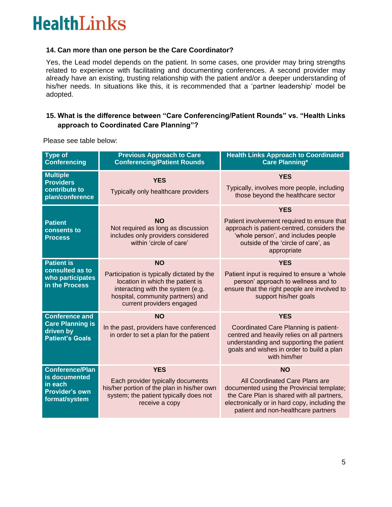## **14. Can more than one person be the Care Coordinator?**

Yes, the Lead model depends on the patient. In some cases, one provider may bring strengths related to experience with facilitating and documenting conferences. A second provider may already have an existing, trusting relationship with the patient and/or a deeper understanding of his/her needs. In situations like this, it is recommended that a 'partner leadership' model be adopted.

## **15. What is the difference between "Care Conferencing/Patient Rounds" vs. "Health Links approach to Coordinated Care Planning"?**

Please see table below:

| <b>Type of</b><br><b>Conferencing</b>                                                        | <b>Previous Approach to Care</b><br><b>Conferencing/Patient Rounds</b>                                                                                                                             | <b>Health Links Approach to Coordinated</b><br><b>Care Planning*</b>                                                                                                                                                           |
|----------------------------------------------------------------------------------------------|----------------------------------------------------------------------------------------------------------------------------------------------------------------------------------------------------|--------------------------------------------------------------------------------------------------------------------------------------------------------------------------------------------------------------------------------|
| <b>Multiple</b><br><b>Providers</b><br>contribute to<br>plan/conference                      | <b>YES</b><br>Typically only healthcare providers                                                                                                                                                  | <b>YES</b><br>Typically, involves more people, including<br>those beyond the healthcare sector                                                                                                                                 |
| <b>Patient</b><br>consents to<br><b>Process</b>                                              | <b>NO</b><br>Not required as long as discussion<br>includes only providers considered<br>within 'circle of care'                                                                                   | <b>YES</b><br>Patient involvement required to ensure that<br>approach is patient-centred, considers the<br>'whole person', and includes people<br>outside of the 'circle of care', as<br>appropriate                           |
| <b>Patient is</b><br>consulted as to<br>who participates<br>in the Process                   | <b>NO</b><br>Participation is typically dictated by the<br>location in which the patient is<br>interacting with the system (e.g.<br>hospital, community partners) and<br>current providers engaged | <b>YES</b><br>Patient input is required to ensure a 'whole<br>person' approach to wellness and to<br>ensure that the right people are involved to<br>support his/her goals                                                     |
| <b>Conference and</b><br><b>Care Planning is</b><br>driven by<br><b>Patient's Goals</b>      | <b>NO</b><br>In the past, providers have conferenced<br>in order to set a plan for the patient                                                                                                     | <b>YES</b><br>Coordinated Care Planning is patient-<br>centred and heavily relies on all partners<br>understanding and supporting the patient<br>goals and wishes in order to build a plan<br>with him/her                     |
| <b>Conference/Plan</b><br>is documented<br>in each<br><b>Provider's own</b><br>format/system | <b>YES</b><br>Each provider typically documents<br>his/her portion of the plan in his/her own<br>system; the patient typically does not<br>receive a copy                                          | <b>NO</b><br>All Coordinated Care Plans are<br>documented using the Provincial template;<br>the Care Plan is shared with all partners,<br>electronically or in hard copy, including the<br>patient and non-healthcare partners |